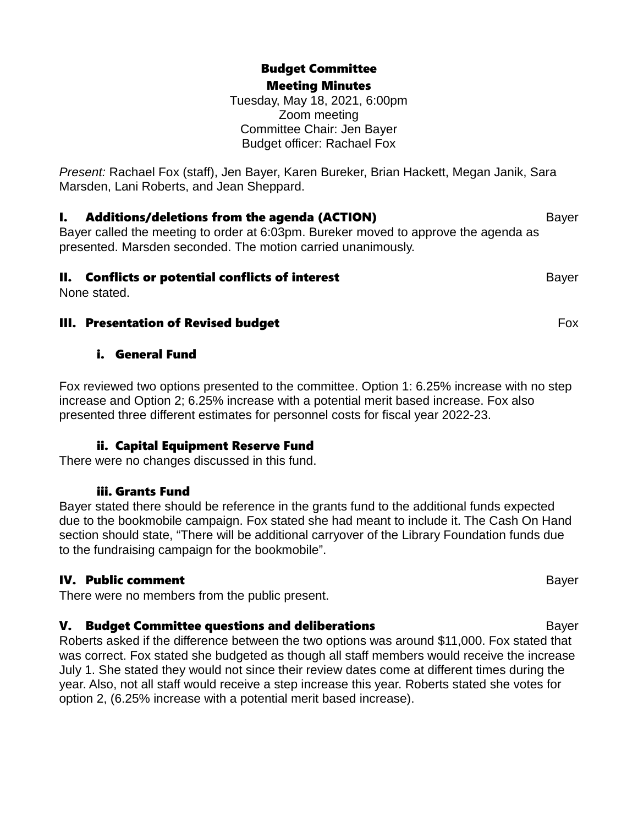### Budget Committee Meeting Minutes

Tuesday, May 18, 2021, 6:00pm Zoom meeting Committee Chair: Jen Bayer Budget officer: Rachael Fox

*Present:* Rachael Fox (staff), Jen Bayer, Karen Bureker, Brian Hackett, Megan Janik, Sara Marsden, Lani Roberts, and Jean Sheppard.

### **I. Additions/deletions from the agenda (ACTION)** Bayer

Bayer called the meeting to order at 6:03pm. Bureker moved to approve the agenda as presented. Marsden seconded. The motion carried unanimously.

### **II. Conflicts or potential conflicts of interest Bayer** Bayer

None stated.

### **III. Presentation of Revised budget Example 20 August 20 August 20 August 20 August 20 August 20 August 20 August 20 August 20 August 20 August 20 August 20 August 20 August 20 August 20 August 20 August 20 August 20 Augu**

### i. General Fund

Fox reviewed two options presented to the committee. Option 1: 6.25% increase with no step increase and Option 2; 6.25% increase with a potential merit based increase. Fox also presented three different estimates for personnel costs for fiscal year 2022-23.

# ii. Capital Equipment Reserve Fund

There were no changes discussed in this fund.

### iii. Grants Fund

Bayer stated there should be reference in the grants fund to the additional funds expected due to the bookmobile campaign. Fox stated she had meant to include it. The Cash On Hand section should state, "There will be additional carryover of the Library Foundation funds due to the fundraising campaign for the bookmobile".

# IV. Public comment Bayer

There were no members from the public present.

# **V. Budget Committee questions and deliberations and committee of the state of the Bayer**

Roberts asked if the difference between the two options was around \$11,000. Fox stated that was correct. Fox stated she budgeted as though all staff members would receive the increase July 1. She stated they would not since their review dates come at different times during the year. Also, not all staff would receive a step increase this year. Roberts stated she votes for option 2, (6.25% increase with a potential merit based increase).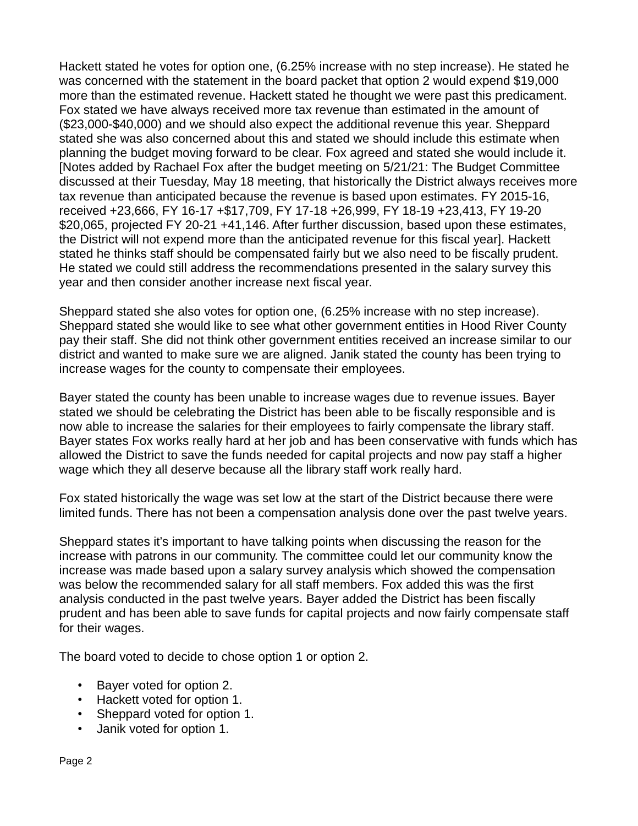Hackett stated he votes for option one, (6.25% increase with no step increase). He stated he was concerned with the statement in the board packet that option 2 would expend \$19,000 more than the estimated revenue. Hackett stated he thought we were past this predicament. Fox stated we have always received more tax revenue than estimated in the amount of (\$23,000-\$40,000) and we should also expect the additional revenue this year. Sheppard stated she was also concerned about this and stated we should include this estimate when planning the budget moving forward to be clear. Fox agreed and stated she would include it. [Notes added by Rachael Fox after the budget meeting on 5/21/21: The Budget Committee discussed at their Tuesday, May 18 meeting, that historically the District always receives more tax revenue than anticipated because the revenue is based upon estimates. FY 2015-16, received +23,666, FY 16-17 +\$17,709, FY 17-18 +26,999, FY 18-19 +23,413, FY 19-20 \$20,065, projected FY 20-21 +41,146. After further discussion, based upon these estimates, the District will not expend more than the anticipated revenue for this fiscal year]. Hackett stated he thinks staff should be compensated fairly but we also need to be fiscally prudent. He stated we could still address the recommendations presented in the salary survey this year and then consider another increase next fiscal year.

Sheppard stated she also votes for option one, (6.25% increase with no step increase). Sheppard stated she would like to see what other government entities in Hood River County pay their staff. She did not think other government entities received an increase similar to our district and wanted to make sure we are aligned. Janik stated the county has been trying to increase wages for the county to compensate their employees.

Bayer stated the county has been unable to increase wages due to revenue issues. Bayer stated we should be celebrating the District has been able to be fiscally responsible and is now able to increase the salaries for their employees to fairly compensate the library staff. Bayer states Fox works really hard at her job and has been conservative with funds which has allowed the District to save the funds needed for capital projects and now pay staff a higher wage which they all deserve because all the library staff work really hard.

Fox stated historically the wage was set low at the start of the District because there were limited funds. There has not been a compensation analysis done over the past twelve years.

Sheppard states it's important to have talking points when discussing the reason for the increase with patrons in our community. The committee could let our community know the increase was made based upon a salary survey analysis which showed the compensation was below the recommended salary for all staff members. Fox added this was the first analysis conducted in the past twelve years. Bayer added the District has been fiscally prudent and has been able to save funds for capital projects and now fairly compensate staff for their wages.

The board voted to decide to chose option 1 or option 2.

- Bayer voted for option 2.
- Hackett voted for option 1.
- Sheppard voted for option 1.
- Janik voted for option 1.